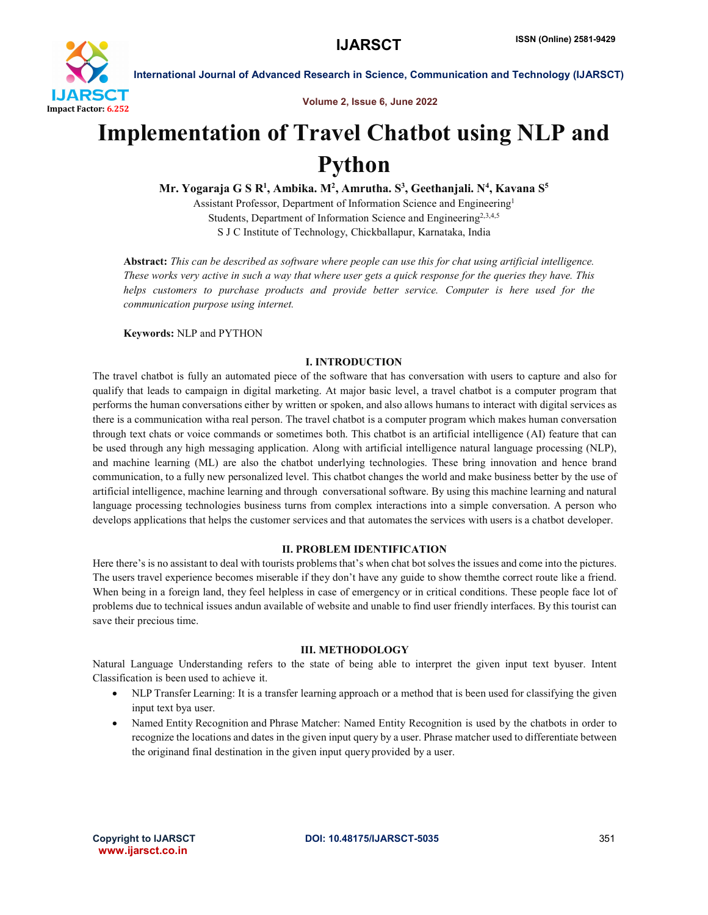

Volume 2, Issue 6, June 2022

# Implementation of Travel Chatbot using NLP and Python

Mr. Yogaraja G S R<sup>1</sup>, Ambika. M<sup>2</sup>, Amrutha. S<sup>3</sup>, Geethanjali. N<sup>4</sup>, Kavana S<sup>5</sup>

Assistant Professor, Department of Information Science and Engineering1 Students, Department of Information Science and Engineering<sup>2,3,4,5</sup> S J C Institute of Technology, Chickballapur, Karnataka, India

Abstract: *This can be described as software where people can use this for chat using artificial intelligence. These works very active in such a way that where user gets a quick response for the queries they have. This helps customers to purchase products and provide better service. Computer is here used for the communication purpose using internet.*

Keywords: NLP and PYTHON

# I. INTRODUCTION

The travel chatbot is fully an automated piece of the software that has conversation with users to capture and also for qualify that leads to campaign in digital marketing. At major basic level, a travel chatbot is a computer program that performs the human conversations either by written or spoken, and also allows humans to interact with digital services as there is a communication witha real person. The travel chatbot is a computer program which makes human conversation through text chats or voice commands or sometimes both. This chatbot is an artificial intelligence (AI) feature that can be used through any high messaging application. Along with artificial intelligence natural language processing (NLP), and machine learning (ML) are also the chatbot underlying technologies. These bring innovation and hence brand communication, to a fully new personalized level. This chatbot changes the world and make business better by the use of artificial intelligence, machine learning and through conversational software. By using this machine learning and natural language processing technologies business turns from complex interactions into a simple conversation. A person who develops applications that helps the customer services and that automates the services with users is a chatbot developer.

# II. PROBLEM IDENTIFICATION

Here there's is no assistant to deal with tourists problems that's when chat bot solves the issues and come into the pictures. The users travel experience becomes miserable if they don't have any guide to show themthe correct route like a friend. When being in a foreign land, they feel helpless in case of emergency or in critical conditions. These people face lot of problems due to technical issues andun available of website and unable to find user friendly interfaces. By this tourist can save their precious time.

# III. METHODOLOGY

Natural Language Understanding refers to the state of being able to interpret the given input text byuser. Intent Classification is been used to achieve it.

- NLP Transfer Learning: It is a transfer learning approach or a method that is been used for classifying the given input text bya user.
- Named Entity Recognition and Phrase Matcher: Named Entity Recognition is used by the chatbots in order to recognize the locations and dates in the given input query by a user. Phrase matcher used to differentiate between the originand final destination in the given input query provided by a user.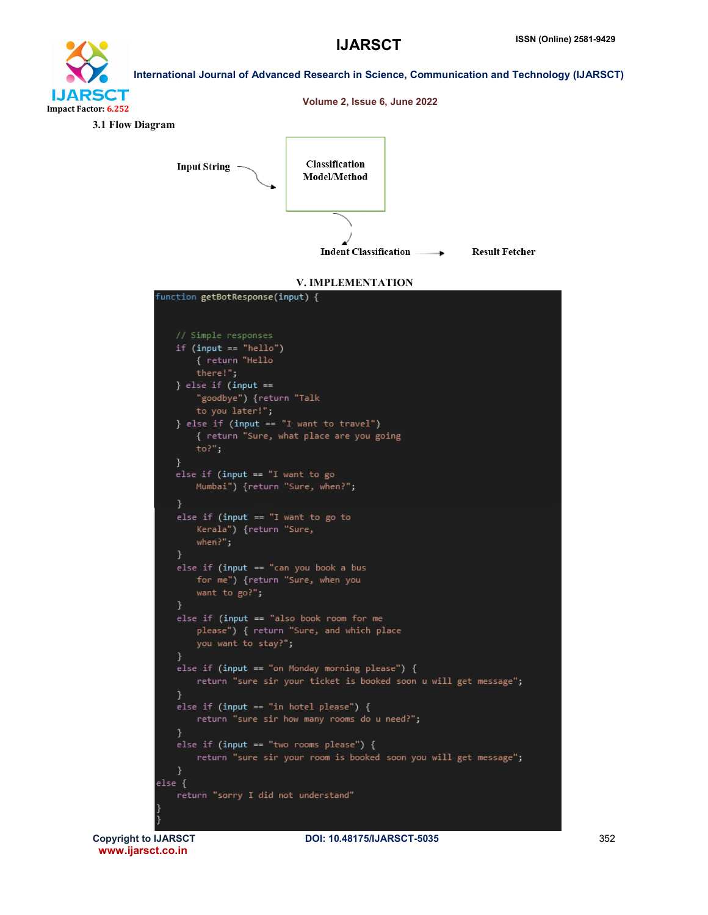



www.ijarsct.co.in

Copyright to IJARSCT **DOI: 10.48175/IJARSCT-5035** 352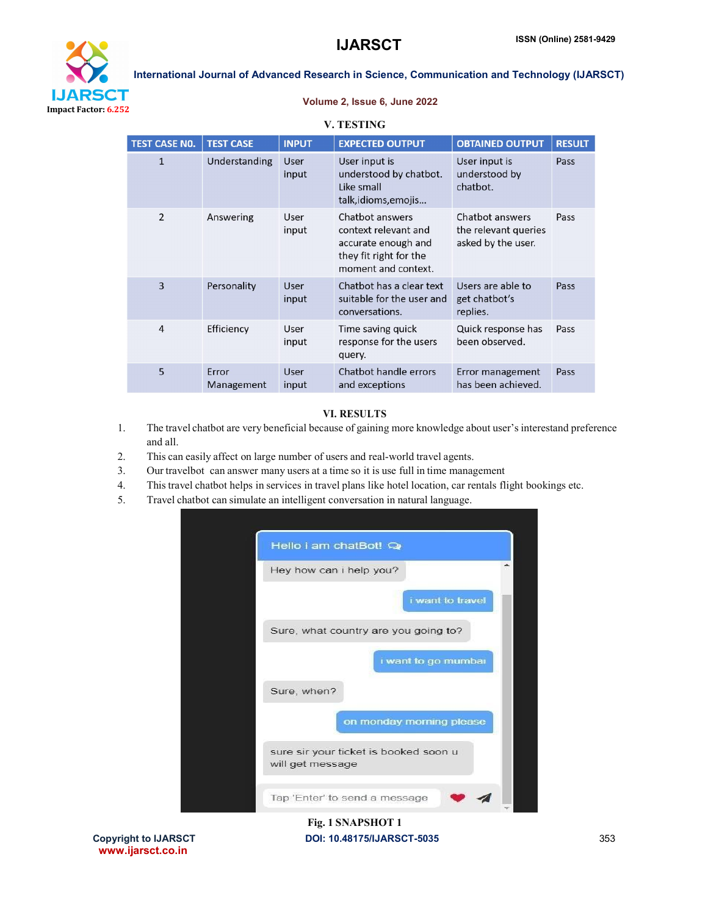

#### Volume 2, Issue 6, June 2022

V. TESTING

| <b>TEST CASE NO.</b> | <b>TEST CASE</b>    | <b>INPUT</b>  | <b>EXPECTED OUTPUT</b>                                                                                          | <b>OBTAINED OUTPUT</b>                                        | <b>RESULT</b> |
|----------------------|---------------------|---------------|-----------------------------------------------------------------------------------------------------------------|---------------------------------------------------------------|---------------|
| $\mathbf{1}$         | Understanding       | User<br>input | User input is<br>understood by chatbot.<br>Like small<br>talk, idioms, emojis                                   | User input is<br>understood by<br>chatbot.                    | Pass          |
| $\overline{2}$       | Answering           | User<br>input | Chatbot answers<br>context relevant and<br>accurate enough and<br>they fit right for the<br>moment and context. | Chatbot answers<br>the relevant queries<br>asked by the user. | Pass          |
| 3                    | Personality         | User<br>input | Chatbot has a clear text<br>suitable for the user and<br>conversations.                                         | Users are able to<br>get chatbot's<br>replies.                | Pass          |
| $\overline{4}$       | Efficiency          | User<br>input | Time saving quick<br>response for the users<br>query.                                                           | Quick response has<br>been observed.                          | Pass          |
| 5                    | Error<br>Management | User<br>input | Chatbot handle errors<br>and exceptions                                                                         | Error management<br>has been achieved.                        | Pass          |

### VI. RESULTS

- 1. The travel chatbot are very beneficial because of gaining more knowledge about user's interestand preference and all.
- 2. This can easily affect on large number of users and real-world travel agents.
- 3. Our travelbot can answer many users at a time so it is use full in time management
- 4. This travel chatbot helps in services in travel plans like hotel location, car rentals flight bookings etc.
- 5. Travel chatbot can simulate an intelligent conversation in natural language.



# Copyright to IJARSCT **DOI: 10.48175/IJARSCT-5035** 353 Fig. 1 SNAPSHOT 1

www.ijarsct.co.in